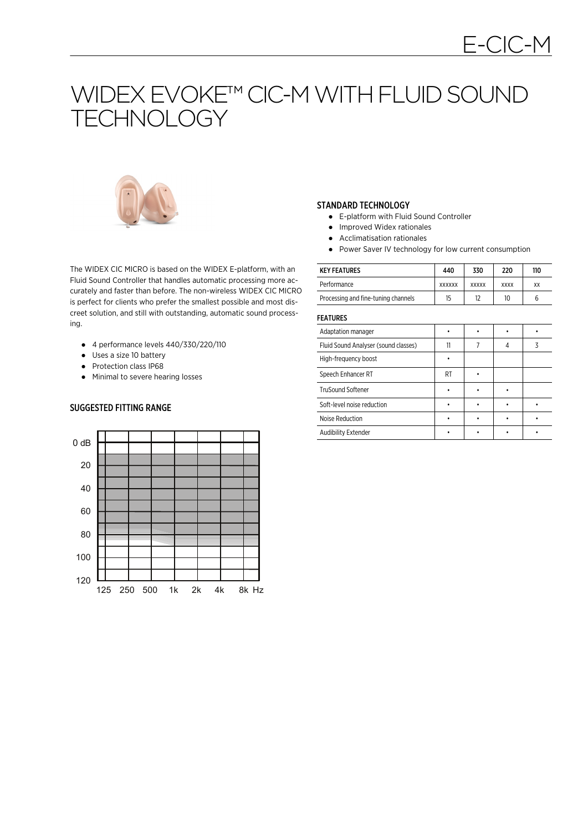# WIDEX EVOKE™ CIC-M WITH FLUID SOUND **TECHNOLOGY**



STANDARD TECHNOLOGY

- E-platform with Fluid Sound Controller
- Improved Widex rationales
- Acclimatisation rationales
- Power Saver IV technology for low current consumption

The WIDEX CIC MICRO is based on the WIDEX E-platform, with an Fluid Sound Controller that handles automatic processing more accurately and faster than before. The non-wireless WIDEX CIC MICRO is perfect for clients who prefer the smallest possible and most discreet solution, and still with outstanding, automatic sound processing.

- $\bullet$  4 performance levels 440/330/220/110
- Uses a size 10 battery
- Protection class IP68

SUGGESTED FITTING RANGE

● Minimal to severe hearing losses

- 
- 
- 

| <b>KEY FEATURES</b>                 | 440           | 330          | 220         | 110 |
|-------------------------------------|---------------|--------------|-------------|-----|
| Performance                         | <b>XXXXXX</b> | <b>XXXXX</b> | <b>XXXX</b> | XX  |
| Processing and fine-tuning channels | 15            |              | 10          | b   |

FEATURES

| Adaptation manager                   |    |  |  |
|--------------------------------------|----|--|--|
| Fluid Sound Analyser (sound classes) | 11 |  |  |
| High-frequency boost                 |    |  |  |
| Speech Enhancer RT                   | RT |  |  |
| <b>TruSound Softener</b>             |    |  |  |
| Soft-level noise reduction           |    |  |  |
| Noise Reduction                      |    |  |  |
| Audibility Extender                  |    |  |  |